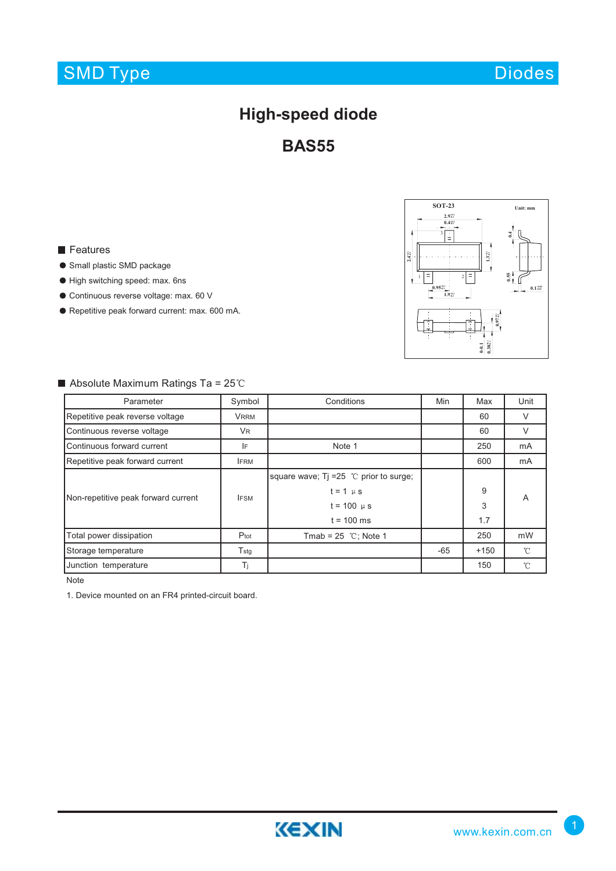# SMD Type

# **High-speed diode**

**BAS55**

### **Features**

- Small plastic SMD package
- High switching speed: max. 6ns
- Continuous reverse voltage: max. 60 V
- Repetitive peak forward current: max. 600 mA.



### $\blacksquare$  Absolute Maximum Ratings Ta = 25°C

| Parameter                           | Symbol        | Conditions                                | Min   | Max    | Unit         |
|-------------------------------------|---------------|-------------------------------------------|-------|--------|--------------|
| Repetitive peak reverse voltage     | <b>VRRM</b>   |                                           |       | 60     | $\vee$       |
| Continuous reverse voltage          | <b>VR</b>     |                                           |       | 60     | V            |
| Continuous forward current          | IF            | Note 1                                    |       | 250    | mA           |
| Repetitive peak forward current     | <b>IFRM</b>   |                                           |       | 600    | mA           |
| Non-repetitive peak forward current | <b>IFSM</b>   | square wave; $Ti = 25$ °C prior to surge; |       |        | A            |
|                                     |               | $t = 1 \mu s$                             |       | 9      |              |
|                                     |               | $t = 100 \mu s$                           |       | 3      |              |
|                                     |               | $t = 100$ ms                              |       | 1.7    |              |
| Total power dissipation             | Ptot          | Tmab = $25$ °C; Note 1                    |       | 250    | mW           |
| Storage temperature                 | $T_{\rm stg}$ |                                           | $-65$ | $+150$ | $^{\circ}$ C |
| Junction temperature                | Ti            |                                           |       | 150    | $^{\circ}$ C |

Note

1. Device mounted on an FR4 printed-circuit board.